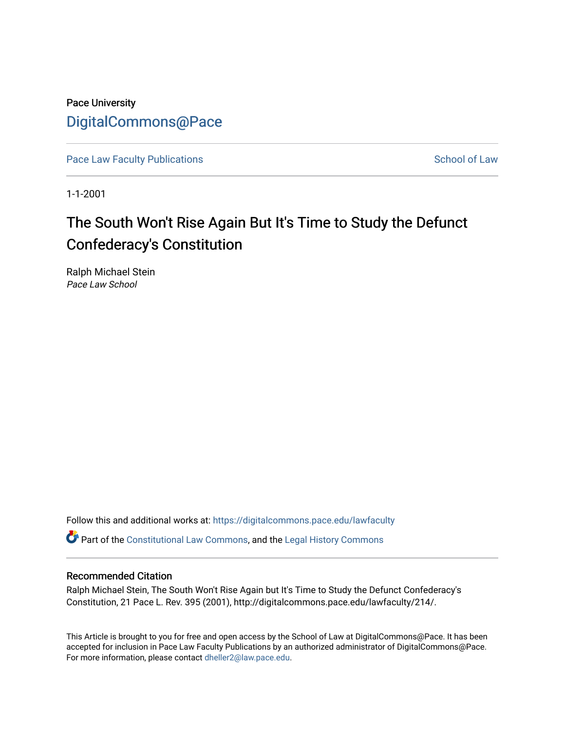Pace University [DigitalCommons@Pace](https://digitalcommons.pace.edu/) 

[Pace Law Faculty Publications](https://digitalcommons.pace.edu/lawfaculty) **School of Law** School of Law

1-1-2001

# The South Won't Rise Again But It's Time to Study the Defunct Confederacy's Constitution

Ralph Michael Stein Pace Law School

Follow this and additional works at: [https://digitalcommons.pace.edu/lawfaculty](https://digitalcommons.pace.edu/lawfaculty?utm_source=digitalcommons.pace.edu%2Flawfaculty%2F214&utm_medium=PDF&utm_campaign=PDFCoverPages) Part of the [Constitutional Law Commons,](http://network.bepress.com/hgg/discipline/589?utm_source=digitalcommons.pace.edu%2Flawfaculty%2F214&utm_medium=PDF&utm_campaign=PDFCoverPages) and the [Legal History Commons](http://network.bepress.com/hgg/discipline/904?utm_source=digitalcommons.pace.edu%2Flawfaculty%2F214&utm_medium=PDF&utm_campaign=PDFCoverPages) 

#### Recommended Citation

Ralph Michael Stein, The South Won't Rise Again but It's Time to Study the Defunct Confederacy's Constitution, 21 Pace L. Rev. 395 (2001), http://digitalcommons.pace.edu/lawfaculty/214/.

This Article is brought to you for free and open access by the School of Law at DigitalCommons@Pace. It has been accepted for inclusion in Pace Law Faculty Publications by an authorized administrator of DigitalCommons@Pace. For more information, please contact [dheller2@law.pace.edu](mailto:dheller2@law.pace.edu).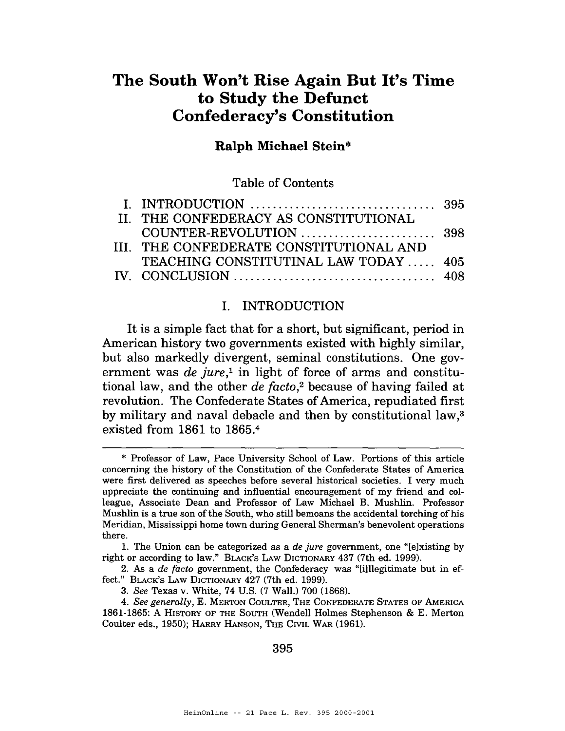## **The South Won't Rise Again But It's Time to Study the Defunct Confederacy's Constitution**

#### **Ralph Michael Stein\***

Table of Contents

| II. THE CONFEDERACY AS CONSTITUTIONAL   |  |
|-----------------------------------------|--|
|                                         |  |
| III. THE CONFEDERATE CONSTITUTIONAL AND |  |
| TEACHING CONSTITUTINAL LAW TODAY  405   |  |
|                                         |  |

#### I. INTRODUCTION

It is a simple fact that for a short, but significant, period in American history two governments existed with highly similar, but also markedly divergent, seminal constitutions. One government was de jure,<sup>1</sup> in light of force of arms and constitutional law, and the other *de facto*<sup>2</sup> because of having failed at revolution. The Confederate States of America, repudiated first by military and naval debacle and then by constitutional law,<sup>3</sup> existed from 1861 to 1865.4

395

<sup>\*</sup> Professor of Law, Pace University School of Law. Portions of this article concerning the history of the Constitution of the Confederate States of America were first delivered as speeches before several historical societies. I very much appreciate the continuing and influential encouragement of my friend and colleague, Associate Dean and Professor of Law Michael B. Mushlin. Professor Mushlin is a true son of the South, who still bemoans the accidental torching of his Meridian, Mississippi home town during General Sherman's benevolent operations there.

<sup>1.</sup> The Union can be categorized as a *de jure* government, one "[elxisting by right or according to law." BLACK'S LAW DICTIONARY 437 (7th ed. 1999).

<sup>2.</sup> *As* a *de facto* government, the Confederacy was "[illlegitimate but in effect." BLACK'S **LAW** DICTIONARY 427 (7th ed. 1999).

*<sup>3.</sup> See* Texas v. White, 74 U.S. (7 Wall.) 700 (1868).

<sup>4.</sup> *See generally,* E. MERTON COULTER, THE CONFEDERATE STATES OF AMERICA 1861-1865: **A** HISTORY OF THE SOUTH (Wendell Holmes Stephenson & E. Merton Coulter eds., 1950); HARRY HANSON, THE CIVIL WAR (1961).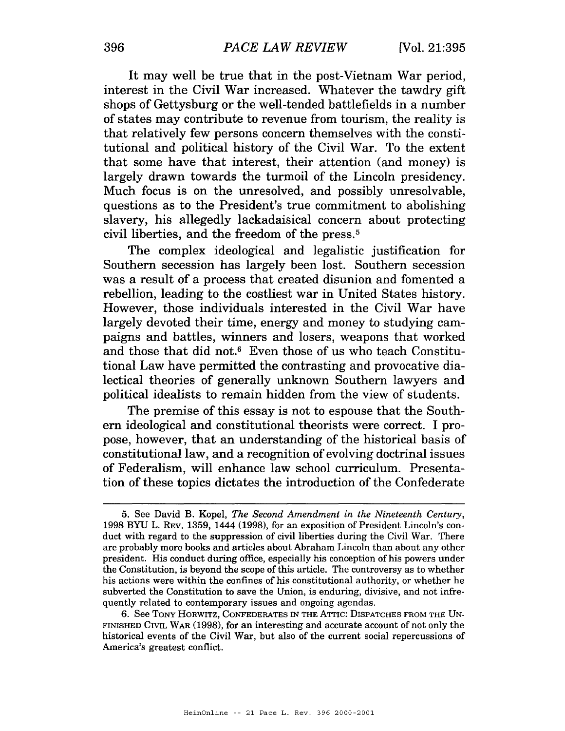It may well be true that in the post-Vietnam War period, interest in the Civil War increased. Whatever the tawdry gift shops of Gettysburg or the well-tended battlefields in a number of states may contribute to revenue from tourism, the reality is that relatively few persons concern themselves with the constitutional and political history of the Civil War. To the extent that some have that interest, their attention (and money) is largely drawn towards the turmoil of the Lincoln presidency. Much focus is on the unresolved, and possibly unresolvable, questions as to the President's true commitment to abolishing slavery, his allegedly lackadaisical concern about protecting civil liberties, and the freedom of the press.5

The complex ideological and legalistic justification for Southern secession has largely been lost. Southern secession was a result of a process that created disunion and fomented a rebellion, leading to the costliest war in United States history. However, those individuals interested in the Civil War have largely devoted their time, energy and money to studying campaigns and battles, winners and losers, weapons that worked and those that did not.6 Even those of us who teach Constitutional Law have permitted the contrasting and provocative dialectical theories of generally unknown Southern lawyers and political idealists to remain hidden from the view of students.

The premise of this essay is not to espouse that the Southern ideological and constitutional theorists were correct. I propose, however, that an understanding of the historical basis of constitutional law, and a recognition of evolving doctrinal issues of Federalism, will enhance law school curriculum. Presentation of these topics dictates the introduction of the Confederate

<sup>5.</sup> See David **B.** Kopel, The Second Amendment in the Nineteenth Century, 1998 BW L. REV. 1359, 1444 (1998), for **an** exposition of President Lincoln's conduct with regard to the suppression of civil liberties during the Civil War. There are probably more books and articles about Abraham Lincoln than about any other president. His conduct during office, especially his conception of his powers under the Constitution, is beyond the scope of this article. The controversy as to whether his actions were within the confines of his constitutional authority, or whether he subverted the Constitution to save the Union, is enduring, divisive, and not infrequently related to contemporary issues and ongoing agendas.

<sup>6.</sup> See TONY HORWITZ, CONFEDERATES IN THE ATTIC: DISPATCHES FROM THE UN-FINISHED CML WAR (1998), for an interesting **and** accurate account of not only the historical events of the Civil War, but also of the current social repercussions of America's greatest conflict.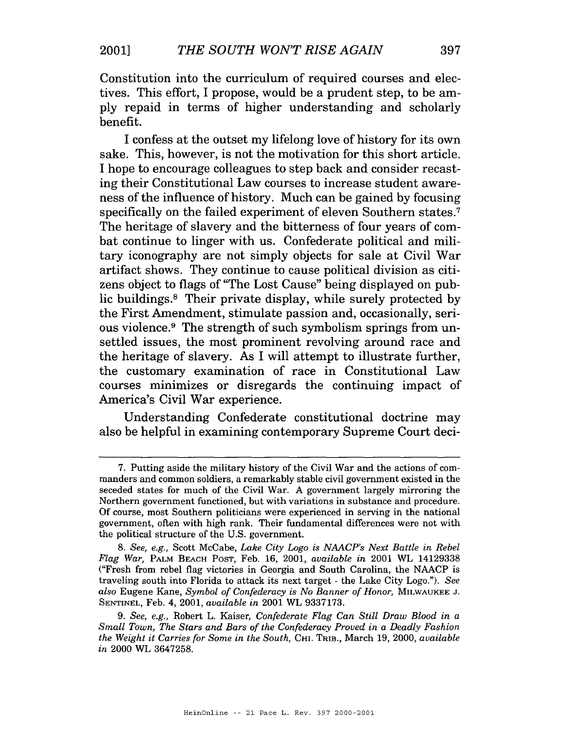Constitution into the curriculum of required courses and electives. This effort, I propose, would be a prudent step, to be amply repaid in terms of higher understanding and scholarly benefit.

I confess at the outset my lifelong love of history for its own sake. This, however, is not the motivation for this short article. I hope to encourage colleagues to step back and consider recasting their Constitutional Law courses to increase student awareness of the influence of history. Much can be gained by focusing specifically on the failed experiment of eleven Southern states.<sup>7</sup> The heritage of slavery and the bitterness of four years of combat continue to linger with us. Confederate political and military iconography are not simply objects for sale at Civil War artifact shows. They continue to cause political division as citizens object to flags of "The Lost Cause" being displayed on public buildings.<sup>8</sup> Their private display, while surely protected by the First Amendment, stimulate passion and, occasionally, serious violence.<sup>9</sup> The strength of such symbolism springs from unsettled issues, the most prominent revolving around race and the heritage of slavery. As I will attempt to illustrate further, the customary examination of race in Constitutional Law courses minimizes or disregards the continuing impact of America's Civil War experience.

Understanding Confederate constitutional doctrine may also be helpful in examining contemporary Supreme Court deci a's Civil War experience.<br>
derstanding Confederate constitutional doctrine ma<br>
helpful in examining contemporary Supreme Court dec<br>
tuting aside the military history of the Civil War and the actions of con

<sup>7.</sup> Putting aside the military history of the Civil War and the actions of commanders and common soldiers, a remarkably stable civil government existed in the seceded states for much of the Civil War. **A** government largely mirroring the Northern government functioned, but with variations in substance and procedure. Of course, most Southern politicians were experienced in serving in the national government, often with high rank. Their fundamental differences were not with the political structure of the U.S. government.

<sup>8.</sup> *See, e.g.,* Scott McCabe, *Lake City Logo is NAACP's Next Battle in Rebel Flag War, PALM* BEACH POST, Feb. 16, 2001, *available in* 2001 WL 14129338 ("Fresh from rebel flag victories in Georgia and South Carolina, the NAACP is traveling south into Florida to attack its next target - the Lake City Logo."). *See also* Eugene Kane, *Symbol of Confederacy is No Banner of Honor,* MILWAUKEE *J.*  SENTINEL, Feb. 4, 2001, *available* in 2001 WL 9337173.

<sup>9.</sup> *See, e.g.,* Robert L. Kaiser, *Confederate Flag Can Still Draw Blood in a Small Town, The Stars and Bars of the Confederacy Proved in a Deadly Fashion the Weight it Carries for Some in the South, CHI. TRIB., March 19, 2000, <i>available in* 2000 *WL* 3647258.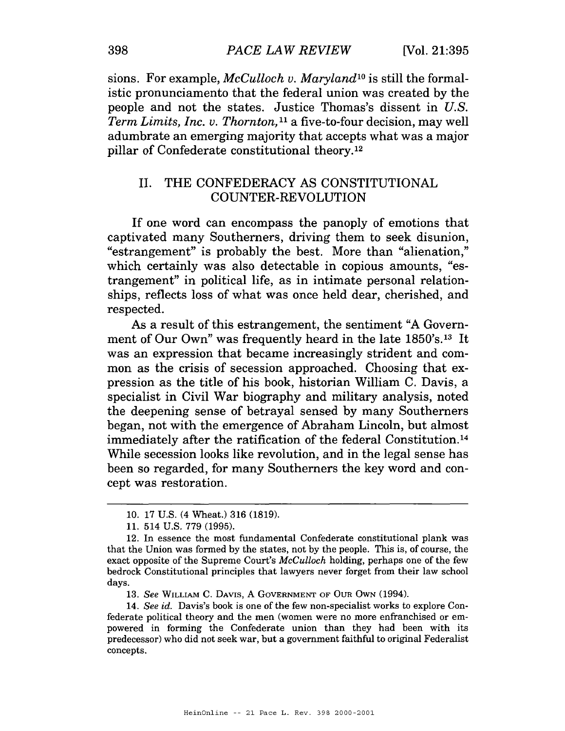sions. For example, McCulloch v. Maryland<sup>10</sup> is still the formalistic pronunciamento that the federal union was created by the people and not the states. Justice Thomas's dissent in U.S. Term Limits, Inc. v. Thornton,<sup>11</sup> a five-to-four decision, may well adumbrate an emerging majority that accepts what was a major pillar of Confederate constitutional theory.12

### 11. THE CONFEDERACY AS CONSTITUTIONAL COUNTER-REVOLUTION

If one word can encompass the panoply of emotions that captivated many Southerners, driving them to seek disunion, "estrangement" is probably the best. More than "alienation," which certainly was also detectable in copious amounts, "estrangement" in political life, as in intimate personal relationships, reflects loss of what was once held dear, cherished, and respected.

As a result of this estrangement, the sentiment "A Government of Our Own" was frequently heard in the late 1850's.<sup>13</sup> It was an expression that became increasingly strident and common as the crisis of secession approached. Choosing that expression as the title of his book, historian William C. Davis, a specialist in Civil War biography and military analysis, noted the deepening sense of betrayal sensed by many Southerners began, not with the emergence of Abraham Lincoln, but almost immediately after the ratification of the federal Constitution.14 While secession looks like revolution, and in the legal sense has been so regarded, for many Southerners the key word and concept was restoration.<br>  $\frac{10^{-17}$  US (4 Wheat ) 316 (1819) cept was restoration.

<sup>10. 17</sup> U.S. (4 Wheat.) 316 (1819).

<sup>11. 514</sup> U.S. 779 (1995).

<sup>12.</sup> In essence the most fundamental Confederate constitutional plank was that the Union was formed by the states, not by the people. This is, of course, the exact opposite of the Supreme Court's *McCulloch* holding, perhaps one of the few bedrock Constitutional principles that lawyers never forget from their law school days.

<sup>13.</sup> *See* WILLIAM C. DAVIS, A GOVERNMENT OF **OUR** OWN (1994).

<sup>14.</sup> *See* id. Davis's book is one of the few non-specialist works to explore Confederate political theory and the men (women were no more enfranchised or empowered in forming the Confederate union than they had been with its predecessor) who did not seek war, but **a** government faithful to original Federalist concepts.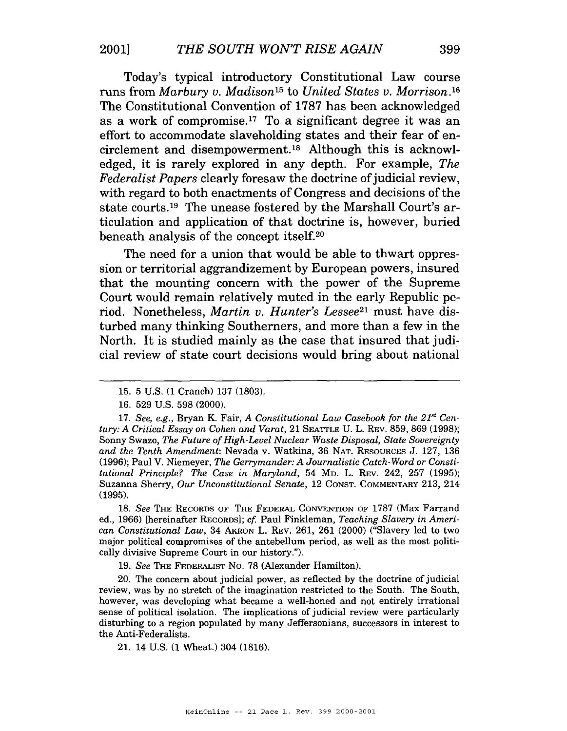Today's typical introductory Constitutional Law course runs from Marbury v. Madison<sup>15</sup> to United States v. Morrison.<sup>16</sup> The Constitutional Convention of 1787 has been acknowledged as a work of compromise.<sup>17</sup> To a significant degree it was an effort to accommodate slaveholding states and their fear of encirclement and disempowerment.<sup>18</sup> Although this is acknowledged, it is rarely explored in any depth. For example, The Federalist Papers clearly foresaw the doctrine of judicial review, with regard to both enactments of Congress and decisions of the state courts.<sup>19</sup> The unease fostered by the Marshall Court's articulation and application of that doctrine is, however, buried beneath analysis of the concept itself. $20$ 

The need for a union that would be able to thwart oppression or territorial aggrandizement by European powers, insured that the mounting concern with the power of the Supreme Court would remain relatively muted in the early Republic period. Nonetheless, *Martin v. Hunter's Lessee*<sup>21</sup> must have disturbed many thinking Southerners, and more than a few in the North. It is studied mainly as the case that insured that judicial review of state court decisions would bring about national

**18.** *See* THE RECORDS OF THE FEDERAL CONVENTION OF **1787** (Max Farrand ed., **1966)** [hereinafter RECORDS]; cf: Paul Finkleman, *Teaching slavery in American Constitutional Law,* **34** AKRON **L.** REV. **261, 261 (2000)** ("Slavery led to two major political compromises of the antebellum period, as well as the most politically divisive Supreme Court in our history.").

**19.** *See* THE FEDERALIST NO. **78** (Alexander Hamilton).

**20.** The concern about judicial power, as reflected by the doctrine of judicial review, was by no stretch of the imagination restricted to the South. The South, however, was developing what became a well-honed and not entirely irrational sense of political isolation. The implications of judicial review were particularly disturbing to a region populated by many Jeffersonians, successors in interest to the Anti-Federalists.

**21. 14** U.S. **(1** Wheat.) **304 (1816).** 

**<sup>15. 5</sup>** U.S. **(1** Cranch) **137 (1803).** 

**<sup>16. 529</sup>** U.S. **598 (2000).** 

**<sup>17.</sup>** *See, e.g.,* Bryan *K.* Fair, *A Constitutional* Law *Casebook for the* 21"' *Century: A Critical Essay on Cohen and Varat,* **21** SEATTLE U. **L.** REV. **859,869 (1998);**  Sonny Swazo, *The Future of High-level Nuclear Waste Disposal, State Sovereignty and the Tenth Amendment:* Nevada v. Watkins, **36** NAT. RESOURCES J. **127, 136 (1996);** Paul **V.** Niemeyer, *The Gerrymander: A Journalistic Catch-Word or Constitutional Principle? The Case in Maryland,* **54** MD. *L.* REV. **242, 257 (1995);**  Suzanna Sherry, *Our Unconstitutional Senate,* **12** CONST. COMMENTARY **213, 214 (1995).**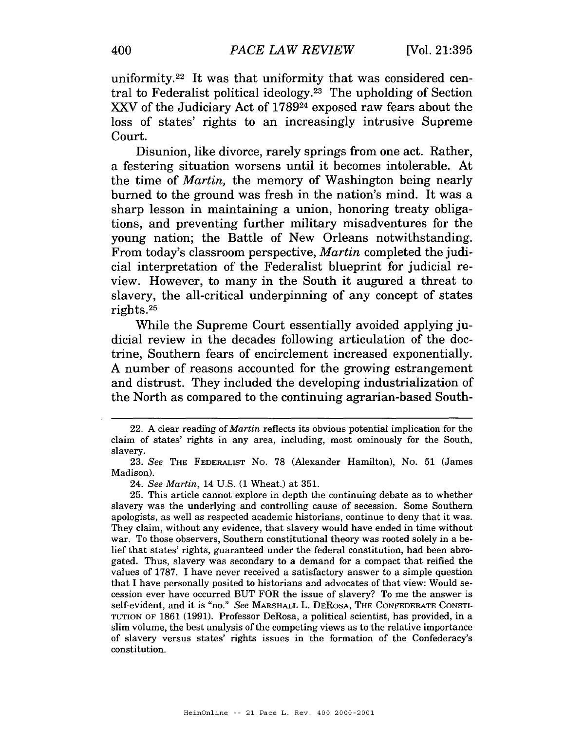uniformity.22 It was that uniformity that was considered central to Federalist political ideology.<sup>23</sup> The upholding of Section *XXV* of the Judiciary Act of 178924 exposed raw fears about the loss of states' rights to an increasingly intrusive Supreme Court.

Disunion, like divorce, rarely springs from one act. Rather, a festering situation worsens until it becomes intolerable. At the time of *Martin,* the memory of Washington being nearly burned to the ground was fresh in the nation's mind. It was a sharp lesson in maintaining a union, honoring treaty obligations, and preventing further military misadventures for the young nation; the Battle of New Orleans notwithstanding. From today's classroom perspective, *Martin* completed the judicial interpretation of the Federalist blueprint for judicial review. However, to many in the South it augured a threat to slavery, the all-critical underpinning of any concept of states rights. $25$ 

While the Supreme Court essentially avoided applying judicial review in the decades following articulation of the doctrine, Southern fears of encirclement increased exponentially. A number of reasons accounted for the growing estrangement and distrust. They included the developing industrialization of the North as compared to the continuing agrarian-based South-

**<sup>22.</sup> A** clear reading of *Martin* reflects its obvious potential implication for the claim of states' rights in any area, including, most ominously for the South, slavery.

**<sup>23.</sup> See THE** FEDERALIST NO. 78 (Alexander Hamilton), No. 51 (James Madison).

**<sup>24.</sup> See** *Martin,* 14 U.S. (1 Wheat.) at 351.

**<sup>25.</sup>** This article cannot explore in depth the continuing debate as to whether slavery was the underlying and controlling cause of secession. Some Southern apologists, as well as respected academic historians, continue to deny that it was. They claim, without any evidence, that slavery would have ended in time without war. To those observers, Southern constitutional theory was rooted solely in a belief that states' rights, guaranteed under the federal constitution, had been abrogated. Thus, slavery was secondary to a demand for a compact that reified the values of 1787. I have never received a satisfactory answer to a simple question that I have personally posited to historians and advocates of that view: Would secession ever have occurred BUT FOR the issue of slavery? To me the answer is self-evident, and it is "no." **See** MARSHALL L. DEROSA, THE CONFEDERATE CONSTI-TUTION OF 1861 (1991). Professor DeRosa, a political scientist, has provided, in a slim volume, the best analysis of the competing views as to the relative importance of slavery versus states' rights issues in the formation of the Confederacy's constitution.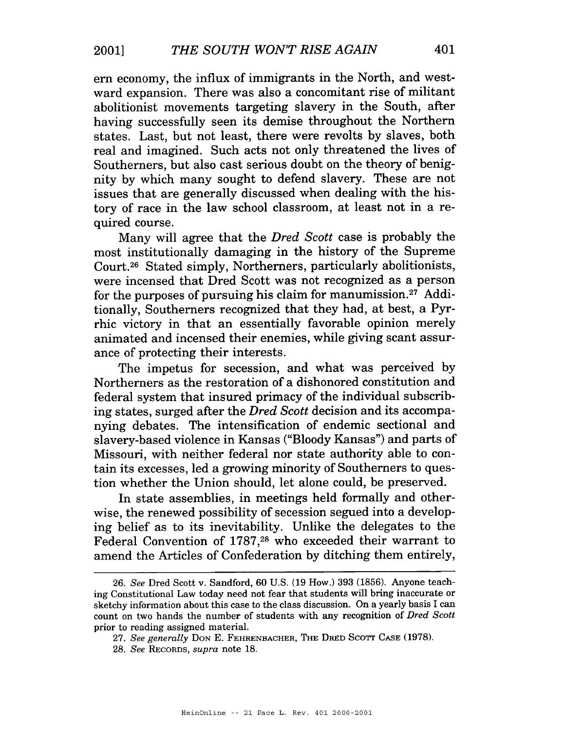ern economy, the influx of immigrants in the North, and westward expansion. There was also a concomitant rise of militant abolitionist movements targeting slavery in the South, after having successfully seen its demise throughout the Northern states. Last, but not least, there were revolts by slaves, both real and imagined. Such acts not only threatened the lives of Southerners, but also cast serious doubt on the theory of benignity by which many sought to defend slavery. These are not issues that are generally discussed when dealing with the history of race in the law school classroom, at least not in a required course.

Many will agree that the *Dred Scott* case is probably the most institutionally damaging in the history of the Supreme Court.<sup>26</sup> Stated simply, Northerners, particularly abolitionists, were incensed that Dred Scott was not recognized as a person for the purposes of pursuing his claim for manumission. $27$  Additionally, Southerners recognized that they had, at best, a Pyrrhic victory in that an essentially favorable opinion merely animated and incensed their enemies, while giving scant assurance of protecting their interests.

The impetus for secession, and what was perceived by Northerners as the restoration of a dishonored constitution and federal system that insured primacy of the individual subscribing states, surged after the *Dred Scott* decision and its accompanying debates. The intensification of endemic sectional and slavery-based violence in Kansas ("Bloody Kansas") and parts of Missouri, with neither federal nor state authority able to contain its excesses, led a growing minority of Southerners to question whether the Union should, let alone could, be preserved.

In state assemblies, in meetings held formally and otherwise, the renewed possibility of secession segued into a developing belief as to its inevitability. Unlike the delegates to the Federal Convention of 1787,28 who exceeded their warrant to amend the Articles of Confederation by ditching them entirely,

<sup>26.</sup> *See* Dred Scott v. Sandford, 60 U.S. (19 How.) 393 (1856). Anyone teaching Constitutional Law today need not fear that students will bring inaccurate or sketchy information about this case to the class discussion. On a yearly basis I can count on two hands the number of students with any recognition of *Dred Scott*  prior to reading assigned material.

<sup>27.</sup> *See generally* DON *E.* FEHRENBACHER, THE DRED SCOTT CASE (1978).

<sup>28.</sup> *See* RECORDS, *supra* note 18.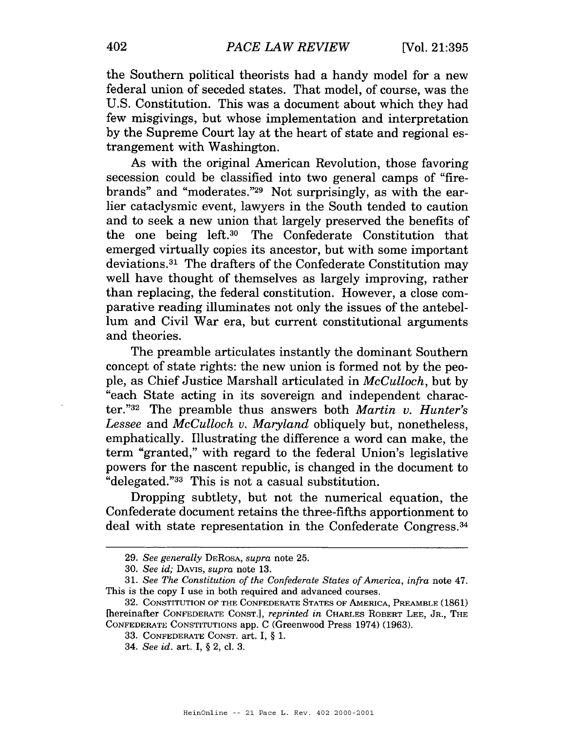the Southern political theorists had a handy model for a new federal union of seceded states. That model, of course, was the U.S. Constitution. This was a document about which they had few misgivings, but whose implementation and interpretation by the Supreme Court lay at the heart of state and regional estrangement with Washington.

As with the original American Revolution, those favoring secession could be classified into two general camps of "firebrands" and "moderates."29 Not surprisingly, as with the earlier cataclysmic event, lawyers in the South tended to caution and to seek a new union that largely preserved the benefits of the one being left.30 The Confederate Constitution that emerged virtually copies its ancestor, but with some important deviations.31 The drafters of the Confederate Constitution may well have thought of themselves as largely improving, rather than replacing, the federal constitution. However, a close comparative reading illuminates not only the issues of the antebellum and Civil War era, but current constitutional arguments and theories.

The preamble articulates instantly the dominant Southern concept of state rights: the new union is formed not by the people, as Chief Justice Marshall articulated in McCulloch, but by "each State acting in its sovereign and independent character."32 The preamble thus answers both Martin v. Hunter's Lessee and McCulloch v. Maryland obliquely but, nonetheless, emphatically. Illustrating the difference a word can make, the term "granted," with regard to the federal Union's legislative powers for the nascent republic, is changed in the document to "delegated."33 This is not a casual substitution.

Dropping subtlety, but not the numerical equation, the Confederate document retains the three-fifths apportionment to deal with state representation in the Confederate Congress.34

**<sup>29.</sup>** *See generally* **DEROSA,** *supra* **note 25.** 

**<sup>30.</sup>** *See id;* **DAVIS,** *supra* **note 13.** 

**<sup>31.</sup>** *See The Constitution of the Confederate States of America, infra* **note 47. This is the copy I use in both required and advanced courses.** 

**<sup>32.</sup> CONSTITUTION OFTHE CONFEDERATE STATES OF AMERICA, PREAMBLE (1861) [hereinafter CONFEDERATE CONST.],** *reprinted in* **CHARLES ROBERT LEE, JR., THE CONFEDERATE CONSTITUTIONS app. C (Greenwood Press 1974) (1963).** 

<sup>33.</sup> CONFEDERATE CONST. art. I, § 1.

**<sup>34.</sup>** *See id.* **art.** *I,* § **2, cl. 3.**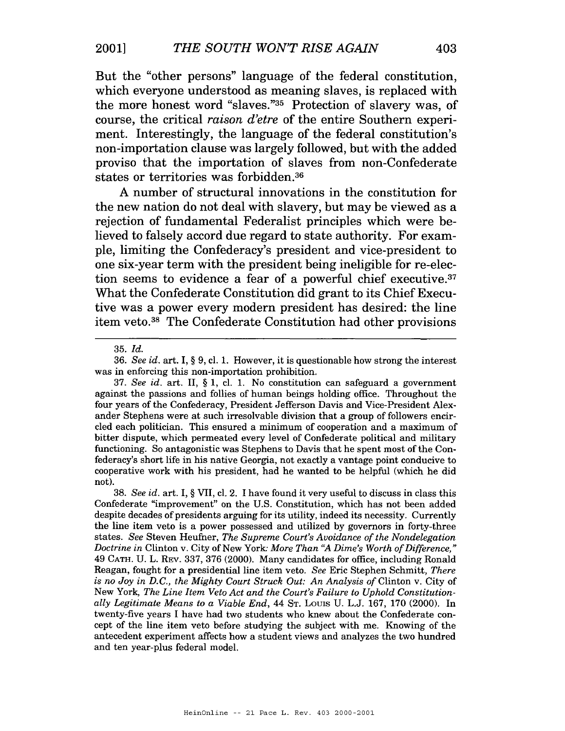But the "other persons" language of the federal constitution, which everyone understood as meaning slaves, is replaced with the more honest word "slaves."35 Protection of slavery was, of course, the critical **raison** *d'etre* of the entire Southern experiment. Interestingly, the language of the federal constitution's non-importation clause was largely followed, but with the added proviso that the importation of slaves from non-Confederate states or territories was forbidden.36

**A** number of structural innovations in the constitution for the new nation do not deal with slavery, but may be viewed as a rejection of fundamental Federalist principles which were believed to falsely accord due regard to state authority. For example, limiting the Confederacy's president and vice-president to one six-year term with the president being ineligible for re-election seems to evidence a fear of a powerful chief executive. $37$ What the Confederate Constitution did grant to its Chief Executive was a power every modern president has desired: the line item veto.<sup>38</sup> The Confederate Constitution had other provisions

**<sup>35.</sup>** *Id.* 

**<sup>36.</sup>** *See id.* art. I, *\$9,* cl. **1.** However, it is questionable how strong the interest was in enforcing this non-importation prohibition.

**<sup>37.</sup>** *See id.* art. 11, **3 1,** cl. **1.** No constitution can safeguard a government against the passions and follies of human beings holding office. Throughout the four years of the Confederacy, President Jefferson Davis and Vice-President Alexander Stephens were at such irresolvable division that a group of followers encircled each politician. This ensured a minimum of cooperation and a maximum of bitter dispute, which permeated every level of Confederate political and military functioning. So antagonistic was Stephens to Davis that he spent most of the Confederacy's short life in his native Georgia, not exactly a vantage point conducive to cooperative work with his president, had he wanted to be helpful (which he did not).

**<sup>38.</sup>** *See id.* art. I, **3** VII, cl. 2. I have found it very useful to discuss in class this Confederate "improvement" on the U.S. Constitution, which has not been added despite decades of presidents arguing for its utility, indeed its necessity. Currently the line item veto is a power possessed and utilized by governors in forty-three states. *See* Steven Heufner, *The Supreme Court's Avoidance of the Nondelegation Doctrine in* Clinton v. City of New York *More Than "A Dime's Worth of Difference," 49* CATH. *U.* L. **REV. 337, 376** (2000). Many candidates for office, including Ronald Reagan, fought for a presidential line item veto. *See* Eric Stephen Schmitt, *There is no Joy in D.C., the Mighty Court Struck Out: An Analysis of* Clinton v. City of New York, *The Line Item Veto Act and the Court's Failure to Uphold Constitutionally Legitimate Means to a Viable End, 44* ST. *LOUIS* U. L.J. **167, 170** (2000). In twenty-five years I have had two students who knew about the Confederate concept of the line item veto before studying the subject with me. Knowing of the antecedent experiment affects how a student views and analyzes the two hundred and ten year-plus federal model.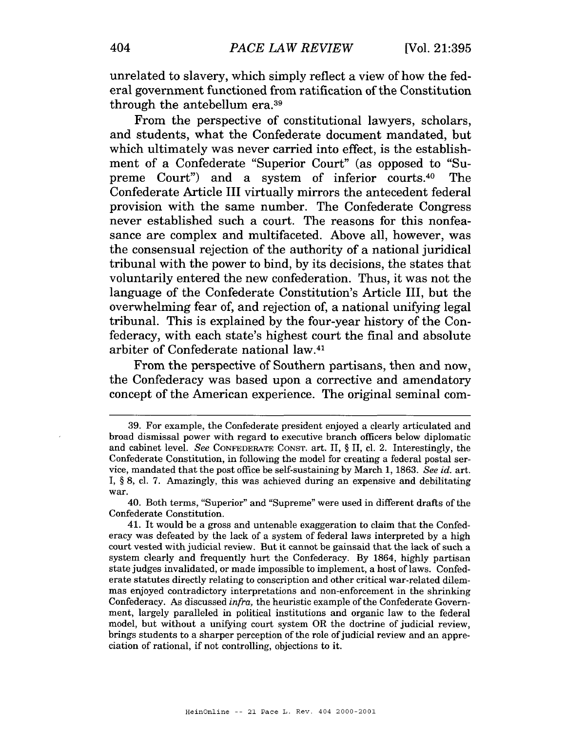unrelated to slavery, which simply reflect a view of how the federal government functioned from ratification of the Constitution through the antebellum era.39

From the perspective of constitutional lawyers, scholars, and students, what the Confederate document mandated, but which ultimately was never carried into effect, is the establishment of a Confederate "Superior Court" (as opposed to "Supreme Court") and a system of inferior courts.40 The Confederate Article I11 virtually mirrors the antecedent federal provision with the same number. The Confederate Congress never established such a court. The reasons for this nonfeasance are complex and multifaceted. Above all, however, was the consensual rejection of the authority of a national juridical tribunal with the power to bind, by its decisions, the states that voluntarily entered the new confederation. Thus, it was not the language of the Confederate Constitution's Article 111, but the overwhelming fear of, and rejection of, a national unifying legal tribunal. This is explained by the four-year history of the Confederacy, with each state's highest court the final and absolute arbiter of Confederate national law.41

From the perspective of Southern partisans, then and now, the Confederacy was based upon a corrective and amendatory concept of the American experience. The original seminal com-

40. Both terms, "Superior" and "Supreme" were used in different drafts of the Confederate Constitution.

**41.** It would be a gross and untenable exaggeration to claim that the Confederacy was defeated by the lack of a system of federal laws interpreted by a high court vested with judicial review. But it cannot be gainsaid that the lack of such a system clearly and frequently hurt the Confederacy. By **1864,** highly partisan state judges invalidated, or made impossible to implement, a host of laws. Confederate statutes directly relating to conscription and other critical war-related dilemmas enjoyed contradictory interpretations and non-enforcement in the shrinking Confederacy. **As** discussed *infra,* the heuristic example of the Confederate Government, largely paralleled in political institutions and organic law to the federal model, but without a unifying court system OR the doctrine of judicial review, brings students to a sharper perception of the role of judicial review and an appreciation of rational, if not controlling, objections to it.

**<sup>39.</sup>** For example, the Confederate president enjoyed a clearly articulated and broad dismissal power with regard to executive branch officers below diplomatic and cabinet level. *See* CONFEDERATE CONST. art. 11, § 11, cl. 2. Interestingly, the Confederate Constitution, in following the model for creating a federal postal service, mandated that the post office be self-sustaining by March **1, 1863.** *See* **id.** art. I, **9 8,** cl. **7.** Amazingly, this was achieved during an expensive and debilitating war.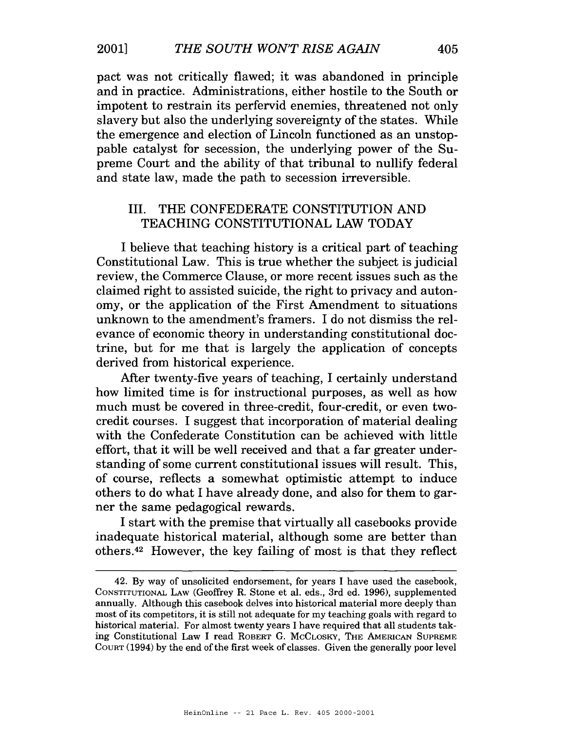pact was not critically flawed; it was abandoned in principle and in practice. Administrations, either hostile to the South or impotent to restrain its perfervid enemies, threatened not only slavery but also the underlying sovereignty of the states. While the emergence and election of Lincoln functioned as an unstoppable catalyst for secession, the underlying power of the Supreme Court and the ability of that tribunal to nullify federal and state law, made the path to secession irreversible.

### 111. THE CONFEDERATE CONSTITUTION AND TEACHING CONSTITUTIONAL LAW TODAY

I believe that teaching history is a critical part of teaching Constitutional Law. This is true whether the subject is judicial review, the Commerce Clause, or more recent issues such as the claimed right to assisted suicide, the right to privacy and autonomy, or the application of the First Amendment to situations unknown to the amendment's framers. I do not dismiss the relevance of economic theory in understanding constitutional doctrine, but for me that is largely the application of concepts derived from historical experience.

After twenty-five years of teaching, I certainly understand how limited time is for instructional purposes, as well as how much must be covered in three-credit, four-credit, or even twocredit courses. I suggest that incorporation of material dealing with the Confederate Constitution can be achieved with little effort, that it will be well received and that a far greater understanding of some current constitutional issues will result. This, of course, reflects a somewhat optimistic attempt to induce others to do what I have already done, and also for them to garner the same pedagogical rewards.

I start with the premise that virtually all casebooks provide inadequate historical material, although some are better than others.42 However, the key failing of most is that they reflect

<sup>42.</sup> By way of unsolicited endorsement, for years I have used the casebook, CONSTITUTIONAL LAW (Geoffrey R. Stone et al. eds., 3rd ed. 1996), supplemented annually. Although this casebook delves into historical material more deeply than most of its competitors, it is still not adequate for my teaching goals with regard to historical material. For almost twenty years I have required that all students taking Constitutional Law I read ROBERT G. MCCLOSKY, THE AMERICAN SUPREME COURT (1994) by the end of the first week of classes. Given the generally poor level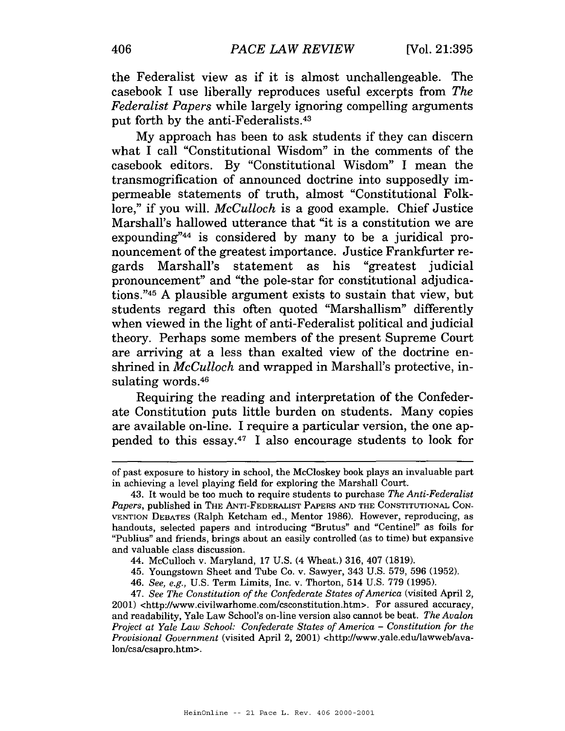the Federalist view as if it is almost unchallengeable. The casebook I use liberally reproduces useful excerpts from *The Federalist Papers* while largely ignoring compelling arguments put forth by the anti-Federalists.43

My approach has been to ask students if they can discern what I call "Constitutional Wisdom" in the comments of the casebook editors. By "Constitutional Wisdom" I mean the transmogrification of announced doctrine into supposedly impermeable statements of truth, almost "Constitutional Folklore," if you will. *McCulloch* is a good example. Chief Justice Marshall's hallowed utterance that "it is a constitution we are expounding" $44$  is considered by many to be a juridical pronouncement of the greatest importance. Justice Frankfurter regards Marshall's statement as his "greatest judicial pronouncement" and "the pole-star for constitutional adjudications."45 **A** plausible argument exists to sustain that view, but students regard this often quoted "Marshallism" differently when viewed in the light of anti-Federalist political and judicial theory. Perhaps some members of the present Supreme Court are arriving at a less than exalted view of the doctrine enshrined in *McCulloch* and wrapped in Marshall's protective, insulating words.46

Requiring the reading and interpretation of the Confederate Constitution puts little burden on students. Many copies are available on-line. I require a particular version, the one appended to this essay.47 I also encourage students to look for are available on-line. I re<br>pended to this essay.<sup>47</sup>  $\frac{1}{2}$ 

of past exposure to history in school, the McCloskey book plays an invaluable part in achieving a level playing field for exploring the Marshall Court.

<sup>43.</sup> It would be too much to require students to purchase The Anti-Federalist Papers, published in THE ANTI-FEDERALIST PAPERS AND THE CONSTITUTIONAL CON-VENTION DEBATES (Ralph Ketcham ed., Mentor 1986). However, reproducing, as handouts, selected papers and introducing "Brutus" and "Centinel" as foils for "Publius" and friends, brings about an easily controlled (as to time) but expansive and valuable class discussion.

<sup>44.</sup> McCulloch v. Maryland, 17 U.S. (4 Wheat.) 316, 407 (1819).

<sup>45.</sup> Youngstown Sheet and Tube Co. v. Sawyer, 343 U.S. 579, 596 (1952).

<sup>46.</sup> See, e.g., U.S. Term Limits, Inc. v. Thorton, 514 U.S. 779 (1995).

<sup>47.</sup> See The Constitution of the Confederate States of America (visited April 2, 2001) **chttp://www.civilwarhome.com/csconstitution.htm>.** For assured accuracy, and readability, Yale Law School's on-line version also cannot be beat. The Avalon Project at Yale Law School: Confederate States of America - Constitution for the Provisional Government (visited April **2,** 2001) **<http://www.yale.edu/lawweb/ava**lon/csa/csapro.htm>.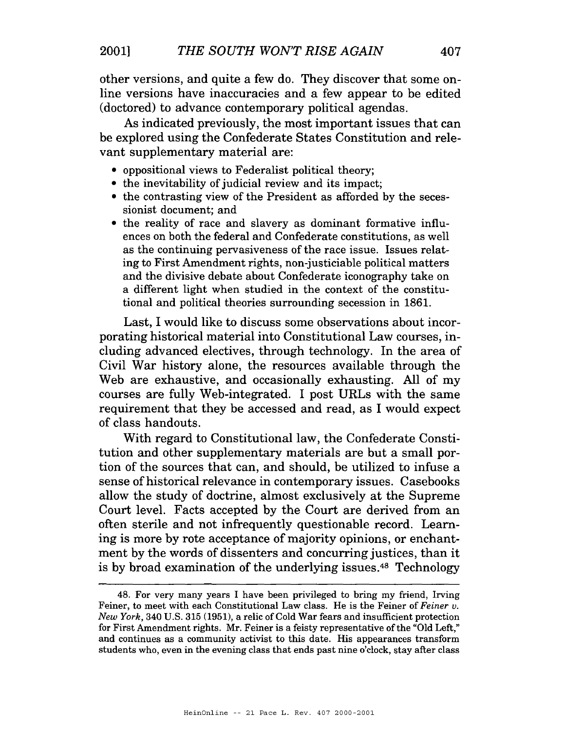other versions, and quite a few do. They discover that some online versions have inaccuracies and a few appear to be edited (doctored) to advance contemporary political agendas.

As indicated previously, the most important issues that can be explored using the Confederate States Constitution and relevant supplementary material are:

- oppositional views to Federalist political theory;
- the inevitability of judicial review and its impact;
- the contrasting view of the President as afforded by the secessionist document; and
- the reality of race and slavery as dominant formative influences on both the federal and Confederate constitutions, as well as the continuing pervasiveness of the race issue. Issues relating to First Amendment rights, non-justiciable political matters and the divisive debate about Confederate iconography take on a different light when studied in the context of the constitutional and political theories surrounding secession in 1861.

Last, I would like to discuss some observations about incorporating historical material into Constitutional Law courses, including advanced electives, through technology. In the area of Civil War history alone, the resources available through the Web are exhaustive, and occasionally exhausting. All of my courses are fully Web-integrated. I post URLs with the same requirement that they be accessed and read, as I would expect of class handouts.

With regard to Constitutional law, the Confederate Constitution and other supplementary materials are but a small portion of the sources that can, and should, be utilized to infuse a sense of historical relevance in contemporary issues. Casebooks allow the study of doctrine, almost exclusively at the Supreme Court level. Facts accepted by the Court are derived from an often sterile and not infrequently questionable record. Learning is more by rote acceptance of majority opinions, or enchantment by the words of dissenters and concurring justices, than it is by broad examination of the underlying issues.48 Technology

<sup>48.</sup> For very many years I have been privileged to bring my friend, Irving Feiner, to meet with each Constitutional Law class. He is the Feiner of Feiner **u.**   $New York$ , 340 U.S. 315 (1951), a relic of Cold War fears and insufficient protection for First Amendment rights. Mr. Feiner is a feisty representative of the "Old Left," and continues as a community activist to this date. His appearances transform students who, even in the evening class that ends past nine o'clock, stay after class